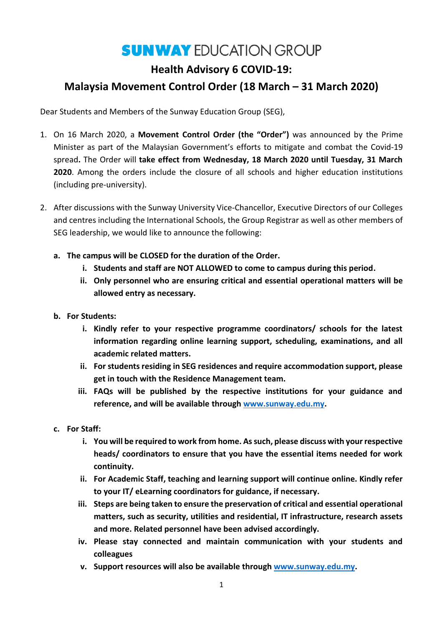# **SUNWAY EDUCATION GROUP**

## **Health Advisory 6 COVID-19:**

### **Malaysia Movement Control Order (18 March – 31 March 2020)**

Dear Students and Members of the Sunway Education Group (SEG),

- 1. On 16 March 2020, a **Movement Control Order (the "Order")** was announced by the Prime Minister as part of the Malaysian Government's efforts to mitigate and combat the Covid-19 spread**.** The Order will **take effect from Wednesday, 18 March 2020 until Tuesday, 31 March 2020**. Among the orders include the closure of all schools and higher education institutions (including pre-university).
- 2. After discussions with the Sunway University Vice-Chancellor, Executive Directors of our Colleges and centres including the International Schools, the Group Registrar as well as other members of SEG leadership, we would like to announce the following:
	- **a. The campus will be CLOSED for the duration of the Order.**
		- **i. Students and staff are NOT ALLOWED to come to campus during this period.**
		- **ii. Only personnel who are ensuring critical and essential operational matters will be allowed entry as necessary.**
	- **b. For Students:**
		- **i. Kindly refer to your respective programme coordinators/ schools for the latest information regarding online learning support, scheduling, examinations, and all academic related matters.**
		- **ii. For students residing in SEG residences and require accommodation support, please get in touch with the Residence Management team.**
		- **iii. FAQs will be published by the respective institutions for your guidance and reference, and will be available through [www.sunway.edu.my.](http://www.sunway.edu.my/)**
	- **c. For Staff:**
		- **i. You will be required to work from home. As such, please discuss with your respective heads/ coordinators to ensure that you have the essential items needed for work continuity.**
		- **ii. For Academic Staff, teaching and learning support will continue online. Kindly refer to your IT/ eLearning coordinators for guidance, if necessary.**
		- **iii. Steps are being taken to ensure the preservation of critical and essential operational matters, such as security, utilities and residential, IT infrastructure, research assets and more. Related personnel have been advised accordingly.**
		- **iv. Please stay connected and maintain communication with your students and colleagues**
		- **v. Support resources will also be available through [www.sunway.edu.my.](http://www.sunway.edu.my/)**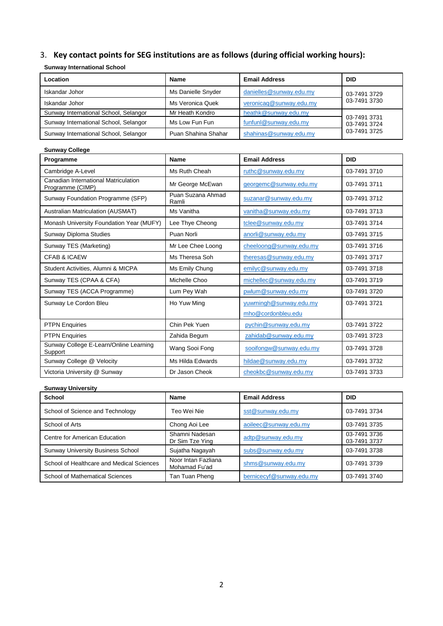## 3. **Key contact points for SEG institutions are as follows (during official working hours):**

#### **Sunway International School**

| Location                              | <b>Name</b>         | <b>Email Address</b>    | <b>DID</b>                                   |
|---------------------------------------|---------------------|-------------------------|----------------------------------------------|
| Iskandar Johor                        | Ms Danielle Snyder  | danielles@sunway.edu.my | 03-7491 3729                                 |
| Iskandar Johor                        | Ms Veronica Quek    | veronicaq@sunway.edu.my | 03-7491 3730                                 |
| Sunway International School, Selangor | Mr Heath Kondro     | heathk@sunway.edu.my    | 03-7491 3731<br>03-7491 3724<br>03-7491 3725 |
| Sunway International School, Selangor | Ms Low Fun Fun      | funfunl@sunway.edu.my   |                                              |
| Sunway International School, Selangor | Puan Shahina Shahar | shahinas@sunway.edu.my  |                                              |

| <b>Sunway College</b>                                    |                            |                         |              |  |  |
|----------------------------------------------------------|----------------------------|-------------------------|--------------|--|--|
| Programme                                                | <b>Name</b>                | <b>Email Address</b>    | <b>DID</b>   |  |  |
| Cambridge A-Level                                        | Ms Ruth Cheah              | ruthc@sunway.edu.my     | 03-7491 3710 |  |  |
| Canadian International Matriculation<br>Programme (CIMP) | Mr George McEwan           | georgemc@sunway.edu.my  | 03-7491 3711 |  |  |
| Sunway Foundation Programme (SFP)                        | Puan Suzana Ahmad<br>Ramli | suzanar@sunway.edu.my   | 03-7491 3712 |  |  |
| Australian Matriculation (AUSMAT)                        | Ms Vanitha                 | vanitha@sunway.edu.my   | 03-7491 3713 |  |  |
| Monash University Foundation Year (MUFY)                 | Lee Thye Cheong            | tclee@sunway.edu.my     | 03-7491 3714 |  |  |
| Sunway Diploma Studies                                   | Puan Norli                 | anorli@sunway.edu.my    | 03-7491 3715 |  |  |
| Sunway TES (Marketing)                                   | Mr Lee Chee Loong          | cheeloong@sunway.edu.my | 03-7491 3716 |  |  |
| <b>CFAB &amp; ICAEW</b>                                  | Ms Theresa Soh             | theresas@sunway.edu.my  | 03-7491 3717 |  |  |
| Student Activities, Alumni & MICPA                       | Ms Emily Chung             | emilyc@sunway.edu.my    | 03-7491 3718 |  |  |
| Sunway TES (CPAA & CFA)                                  | Michelle Choo              | michellec@sunway.edu.my | 03-7491 3719 |  |  |
| Sunway TES (ACCA Programme)                              | Lum Pey Wah                | pwlum@sunway.edu.my     | 03-7491 3720 |  |  |
| Sunway Le Cordon Bleu                                    | Ho Yuw Ming                | yuwmingh@sunway.edu.my  | 03-7491 3721 |  |  |
|                                                          |                            | mho@cordonbleu.edu      |              |  |  |
| <b>PTPN Enquiries</b>                                    | Chin Pek Yuen              | pychin@sunway.edu.my    | 03-7491 3722 |  |  |
| <b>PTPN Enquiries</b>                                    | Zahida Begum               | zahidab@sunway.edu.my   | 03-7491 3723 |  |  |
| Sunway College E-Learn/Online Learning<br>Support        | Wang Sooi Fong             | sooifongw@sunway.edu.my | 03-7491 3728 |  |  |
| Sunway College @ Velocity                                | Ms Hilda Edwards           | hildae@sunway.edu.my    | 03-7491 3732 |  |  |
| Victoria University @ Sunway                             | Dr Jason Cheok             | cheokbc@sunway.edu.my   | 03-7491 3733 |  |  |

#### **Sunway University**

| School                                    | Name                                 | <b>Email Address</b>     | <b>DID</b>                   |
|-------------------------------------------|--------------------------------------|--------------------------|------------------------------|
| School of Science and Technology          | Teo Wei Nie                          | sst@sunway.edu.my        | 03-7491 3734                 |
| School of Arts                            | Chong Aoi Lee                        | aoileec@sunway.edu.my    | 03-7491 3735                 |
| Centre for American Education             | Shamni Nadesan<br>Dr Sim Tze Ying    | adtp@sunway.edu.my       | 03-7491 3736<br>03-7491 3737 |
| <b>Sunway University Business School</b>  | Sujatha Nagayah                      | subs@sunway.edu.my       | 03-7491 3738                 |
| School of Healthcare and Medical Sciences | Noor Intan Fazliana<br>Mohamad Fu'ad | shms@sunway.edu.my       | 03-7491 3739                 |
| School of Mathematical Sciences           | Tan Tuan Pheng                       | bernicecyf@sunway.edu.my | 03-7491 3740                 |